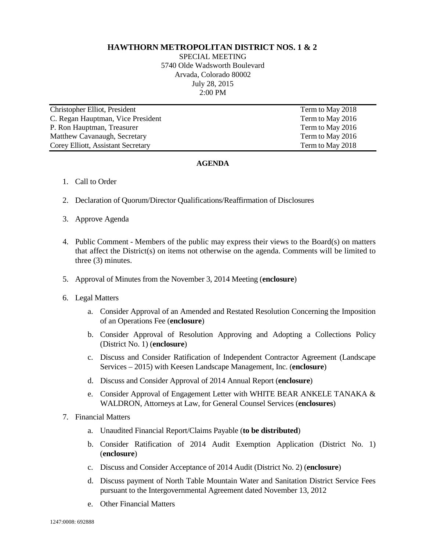## **HAWTHORN METROPOLITAN DISTRICT NOS. 1 & 2**

SPECIAL MEETING 5740 Olde Wadsworth Boulevard Arvada, Colorado 80002 July 28, 2015 2:00 PM

| Christopher Elliot, President      | Term to May 2018 |
|------------------------------------|------------------|
| C. Regan Hauptman, Vice President  | Term to May 2016 |
| P. Ron Hauptman, Treasurer         | Term to May 2016 |
| Matthew Cavanaugh, Secretary       | Term to May 2016 |
| Corey Elliott, Assistant Secretary | Term to May 2018 |

## **AGENDA**

- 1. Call to Order
- 2. Declaration of Quorum/Director Qualifications/Reaffirmation of Disclosures
- 3. Approve Agenda
- 4. Public Comment Members of the public may express their views to the Board(s) on matters that affect the District(s) on items not otherwise on the agenda. Comments will be limited to three (3) minutes.
- 5. Approval of Minutes from the November 3, 2014 Meeting (**enclosure**)
- 6. Legal Matters
	- a. Consider Approval of an Amended and Restated Resolution Concerning the Imposition of an Operations Fee (**enclosure**)
	- b. Consider Approval of Resolution Approving and Adopting a Collections Policy (District No. 1) (**enclosure**)
	- c. Discuss and Consider Ratification of Independent Contractor Agreement (Landscape Services – 2015) with Keesen Landscape Management, Inc. (**enclosure**)
	- d. Discuss and Consider Approval of 2014 Annual Report (**enclosure**)
	- e. Consider Approval of Engagement Letter with WHITE BEAR ANKELE TANAKA & WALDRON, Attorneys at Law, for General Counsel Services (**enclosures**)
- 7. Financial Matters
	- a. Unaudited Financial Report/Claims Payable (**to be distributed**)
	- b. Consider Ratification of 2014 Audit Exemption Application (District No. 1) (**enclosure**)
	- c. Discuss and Consider Acceptance of 2014 Audit (District No. 2) (**enclosure**)
	- d. Discuss payment of North Table Mountain Water and Sanitation District Service Fees pursuant to the Intergovernmental Agreement dated November 13, 2012
	- e. Other Financial Matters